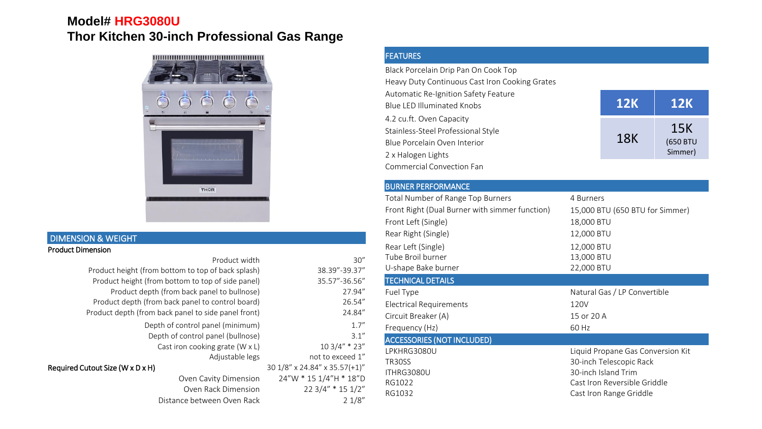## **Model# HRG3080U Thor Kitchen 30-inch Professional Gas Range**



## DIMENSION & WEIGHT Product Dimension

| 30''                          | Product width                                       |
|-------------------------------|-----------------------------------------------------|
| 38.39"-39.37"                 | Product height (from bottom to top of back splash)  |
| 35.57"-36.56"                 | Product height (from bottom to top of side panel)   |
| 27.94"                        | Product depth (from back panel to bullnose)         |
| 26.54"                        | Product depth (from back panel to control board)    |
| 24.84"                        | Product depth (from back panel to side panel front) |
| 1.7''                         | Depth of control panel (minimum)                    |
| 3.1''                         | Depth of control panel (bullnose)                   |
| 10 3/4" * 23"                 | Cast iron cooking grate (W x L)                     |
| not to exceed 1"              | Adjustable legs                                     |
| 30 1/8" x 24.84" x 35.57(+1)" | Required Cutout Size (W x D x H)                    |
| 24"W * 15 1/4"H * 18"D        | Oven Cavity Dimension                               |
| 22 3/4" * 15 1/2"             | Oven Rack Dimension                                 |
| 21/8"                         | Distance between Oven Rack                          |
|                               |                                                     |

## FEATURES

Black Porcelain Drip Pan On Cook Top Heavy Duty Continuous Cast Iron Cooking Grates Automatic Re-Ignition Safety Feature Blue LED Illuminated Knobs 4.2 cu.ft. Oven Capacity Stainless-Steel Professional Style Blue Porcelain Oven Interior 2 x Halogen Lights Commercial Convection Fan

## BURNER PERFORMANCE

| <b>Total Number of Range Top Burners</b>       | 4 Burners                         |
|------------------------------------------------|-----------------------------------|
| Front Right (Dual Burner with simmer function) | 15,000 BTU (650 BTU for Simmer)   |
| Front Left (Single)                            | 18,000 BTU                        |
| Rear Right (Single)                            | 12,000 BTU                        |
| Rear Left (Single)                             | 12,000 BTU                        |
| Tube Broil burner                              | 13,000 BTU                        |
| U-shape Bake burner                            | 22,000 BTU                        |
| <b>TECHNICAL DETAILS</b>                       |                                   |
| Fuel Type                                      | Natural Gas / LP Convertible      |
| <b>Electrical Requirements</b>                 | 120V                              |
| Circuit Breaker (A)                            | 15 or 20 A                        |
| Frequency (Hz)                                 | 60 Hz                             |
| <b>ACCESSORIES (NOT INCLUDED)</b>              |                                   |
| LPKHRG3080U                                    | Liquid Propane Gas Conversion Kit |
| TR30SS                                         | 30-inch Telescopic Rack           |
| ITHRG3080U                                     | 30-inch Island Trim               |
| RG1022                                         | Cast Iron Reversible Griddle      |
| RG1032                                         | Cast Iron Range Griddle           |
|                                                |                                   |

**12K 12K**

15K (650 BTU Simmer)

18K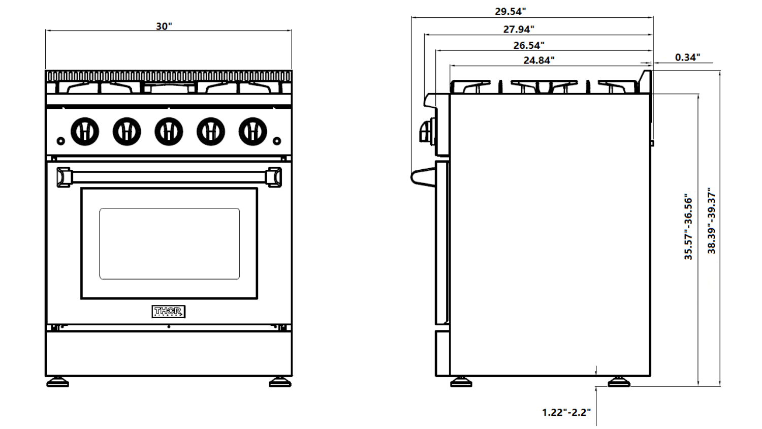



38.39"-39.37"